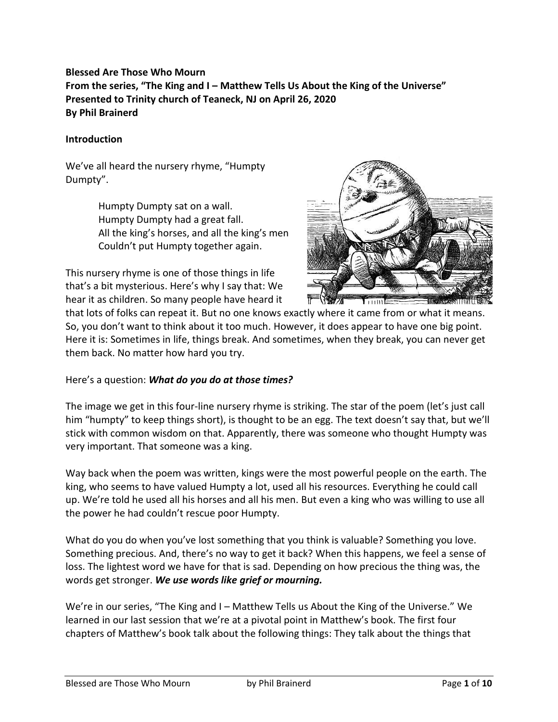# **Blessed Are Those Who Mourn From the series, "The King and I – Matthew Tells Us About the King of the Universe" Presented to Trinity church of Teaneck, NJ on April 26, 2020 By Phil Brainerd**

#### **Introduction**

We've all heard the nursery rhyme, "Humpty Dumpty".

> Humpty Dumpty sat on a wall. Humpty Dumpty had a great fall. All the king's horses, and all the king's men Couldn't put Humpty together again.

This nursery rhyme is one of those things in life that's a bit mysterious. Here's why I say that: We hear it as children. So many people have heard it



that lots of folks can repeat it. But no one knows exactly where it came from or what it means. So, you don't want to think about it too much. However, it does appear to have one big point. Here it is: Sometimes in life, things break. And sometimes, when they break, you can never get them back. No matter how hard you try.

Here's a question: *What do you do at those times?*

The image we get in this four-line nursery rhyme is striking. The star of the poem (let's just call him "humpty" to keep things short), is thought to be an egg. The text doesn't say that, but we'll stick with common wisdom on that. Apparently, there was someone who thought Humpty was very important. That someone was a king.

Way back when the poem was written, kings were the most powerful people on the earth. The king, who seems to have valued Humpty a lot, used all his resources. Everything he could call up. We're told he used all his horses and all his men. But even a king who was willing to use all the power he had couldn't rescue poor Humpty.

What do you do when you've lost something that you think is valuable? Something you love. Something precious. And, there's no way to get it back? When this happens, we feel a sense of loss. The lightest word we have for that is sad. Depending on how precious the thing was, the words get stronger. *We use words like grief or mourning.*

We're in our series, "The King and I – Matthew Tells us About the King of the Universe." We learned in our last session that we're at a pivotal point in Matthew's book. The first four chapters of Matthew's book talk about the following things: They talk about the things that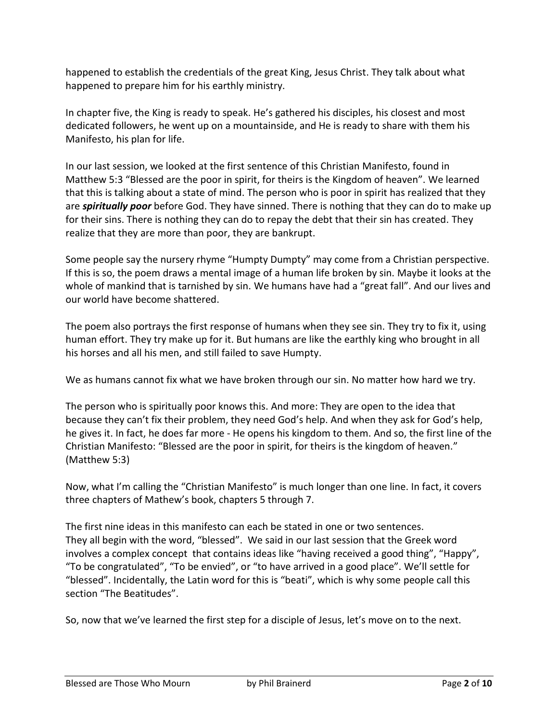happened to establish the credentials of the great King, Jesus Christ. They talk about what happened to prepare him for his earthly ministry.

In chapter five, the King is ready to speak. He's gathered his disciples, his closest and most dedicated followers, he went up on a mountainside, and He is ready to share with them his Manifesto, his plan for life.

In our last session, we looked at the first sentence of this Christian Manifesto, found in Matthew 5:3 "Blessed are the poor in spirit, for theirs is the Kingdom of heaven". We learned that this is talking about a state of mind. The person who is poor in spirit has realized that they are *spiritually poor* before God. They have sinned. There is nothing that they can do to make up for their sins. There is nothing they can do to repay the debt that their sin has created. They realize that they are more than poor, they are bankrupt.

Some people say the nursery rhyme "Humpty Dumpty" may come from a Christian perspective. If this is so, the poem draws a mental image of a human life broken by sin. Maybe it looks at the whole of mankind that is tarnished by sin. We humans have had a "great fall". And our lives and our world have become shattered.

The poem also portrays the first response of humans when they see sin. They try to fix it, using human effort. They try make up for it. But humans are like the earthly king who brought in all his horses and all his men, and still failed to save Humpty.

We as humans cannot fix what we have broken through our sin. No matter how hard we try.

The person who is spiritually poor knows this. And more: They are open to the idea that because they can't fix their problem, they need God's help. And when they ask for God's help, he gives it. In fact, he does far more - He opens his kingdom to them. And so, the first line of the Christian Manifesto: "Blessed are the poor in spirit, for theirs is the kingdom of heaven." (Matthew 5:3)

Now, what I'm calling the "Christian Manifesto" is much longer than one line. In fact, it covers three chapters of Mathew's book, chapters 5 through 7.

The first nine ideas in this manifesto can each be stated in one or two sentences. They all begin with the word, "blessed". We said in our last session that the Greek word involves a complex concept that contains ideas like "having received a good thing", "Happy", "To be congratulated", "To be envied", or "to have arrived in a good place". We'll settle for "blessed". Incidentally, the Latin word for this is "beati", which is why some people call this section "The Beatitudes".

So, now that we've learned the first step for a disciple of Jesus, let's move on to the next.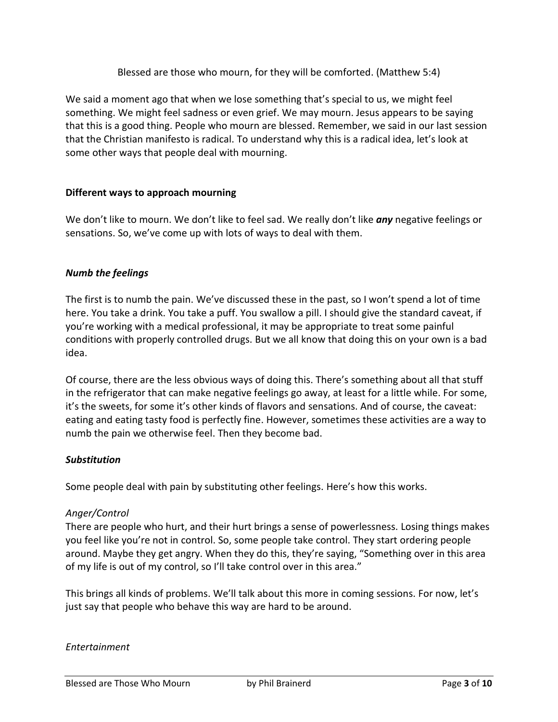Blessed are those who mourn, for they will be comforted. (Matthew 5:4)

We said a moment ago that when we lose something that's special to us, we might feel something. We might feel sadness or even grief. We may mourn. Jesus appears to be saying that this is a good thing. People who mourn are blessed. Remember, we said in our last session that the Christian manifesto is radical. To understand why this is a radical idea, let's look at some other ways that people deal with mourning.

## **Different ways to approach mourning**

We don't like to mourn. We don't like to feel sad. We really don't like *any* negative feelings or sensations. So, we've come up with lots of ways to deal with them.

#### *Numb the feelings*

The first is to numb the pain. We've discussed these in the past, so I won't spend a lot of time here. You take a drink. You take a puff. You swallow a pill. I should give the standard caveat, if you're working with a medical professional, it may be appropriate to treat some painful conditions with properly controlled drugs. But we all know that doing this on your own is a bad idea.

Of course, there are the less obvious ways of doing this. There's something about all that stuff in the refrigerator that can make negative feelings go away, at least for a little while. For some, it's the sweets, for some it's other kinds of flavors and sensations. And of course, the caveat: eating and eating tasty food is perfectly fine. However, sometimes these activities are a way to numb the pain we otherwise feel. Then they become bad.

#### *Substitution*

Some people deal with pain by substituting other feelings. Here's how this works.

#### *Anger/Control*

There are people who hurt, and their hurt brings a sense of powerlessness. Losing things makes you feel like you're not in control. So, some people take control. They start ordering people around. Maybe they get angry. When they do this, they're saying, "Something over in this area of my life is out of my control, so I'll take control over in this area."

This brings all kinds of problems. We'll talk about this more in coming sessions. For now, let's just say that people who behave this way are hard to be around.

#### *Entertainment*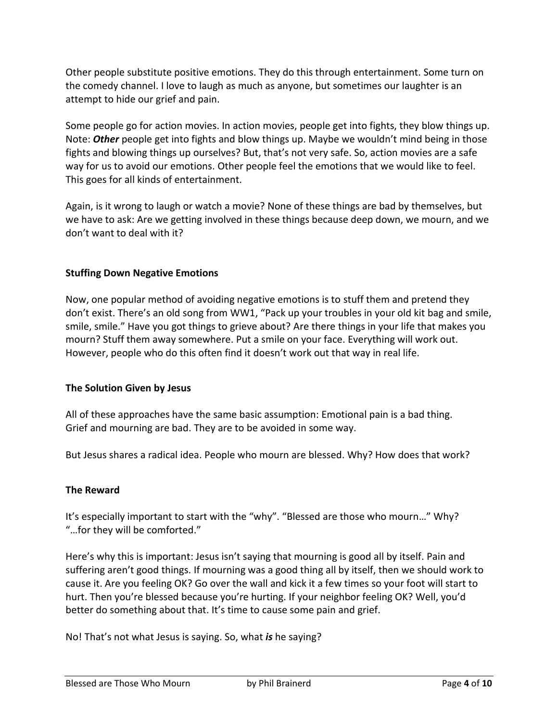Other people substitute positive emotions. They do this through entertainment. Some turn on the comedy channel. I love to laugh as much as anyone, but sometimes our laughter is an attempt to hide our grief and pain.

Some people go for action movies. In action movies, people get into fights, they blow things up. Note: *Other* people get into fights and blow things up. Maybe we wouldn't mind being in those fights and blowing things up ourselves? But, that's not very safe. So, action movies are a safe way for us to avoid our emotions. Other people feel the emotions that we would like to feel. This goes for all kinds of entertainment.

Again, is it wrong to laugh or watch a movie? None of these things are bad by themselves, but we have to ask: Are we getting involved in these things because deep down, we mourn, and we don't want to deal with it?

## **Stuffing Down Negative Emotions**

Now, one popular method of avoiding negative emotions is to stuff them and pretend they don't exist. There's an old song from WW1, "Pack up your troubles in your old kit bag and smile, smile, smile." Have you got things to grieve about? Are there things in your life that makes you mourn? Stuff them away somewhere. Put a smile on your face. Everything will work out. However, people who do this often find it doesn't work out that way in real life.

#### **The Solution Given by Jesus**

All of these approaches have the same basic assumption: Emotional pain is a bad thing. Grief and mourning are bad. They are to be avoided in some way.

But Jesus shares a radical idea. People who mourn are blessed. Why? How does that work?

#### **The Reward**

It's especially important to start with the "why". "Blessed are those who mourn…" Why? "…for they will be comforted."

Here's why this is important: Jesus isn't saying that mourning is good all by itself. Pain and suffering aren't good things. If mourning was a good thing all by itself, then we should work to cause it. Are you feeling OK? Go over the wall and kick it a few times so your foot will start to hurt. Then you're blessed because you're hurting. If your neighbor feeling OK? Well, you'd better do something about that. It's time to cause some pain and grief.

No! That's not what Jesus is saying. So, what *is* he saying?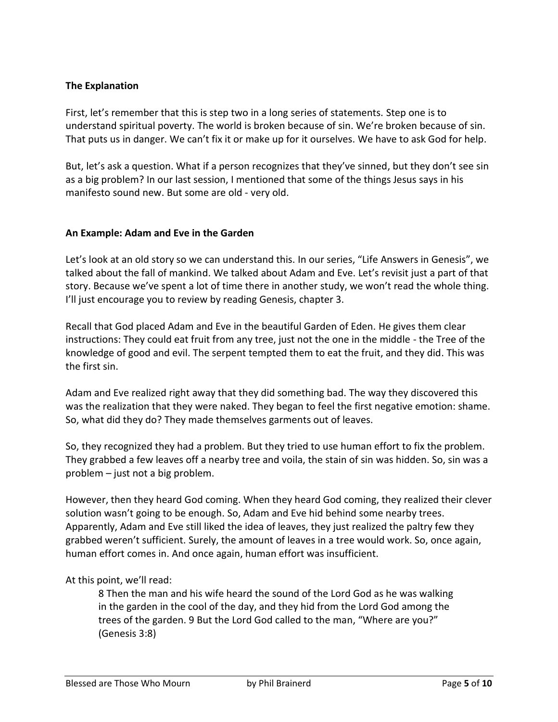## **The Explanation**

First, let's remember that this is step two in a long series of statements. Step one is to understand spiritual poverty. The world is broken because of sin. We're broken because of sin. That puts us in danger. We can't fix it or make up for it ourselves. We have to ask God for help.

But, let's ask a question. What if a person recognizes that they've sinned, but they don't see sin as a big problem? In our last session, I mentioned that some of the things Jesus says in his manifesto sound new. But some are old - very old.

#### **An Example: Adam and Eve in the Garden**

Let's look at an old story so we can understand this. In our series, "Life Answers in Genesis", we talked about the fall of mankind. We talked about Adam and Eve. Let's revisit just a part of that story. Because we've spent a lot of time there in another study, we won't read the whole thing. I'll just encourage you to review by reading Genesis, chapter 3.

Recall that God placed Adam and Eve in the beautiful Garden of Eden. He gives them clear instructions: They could eat fruit from any tree, just not the one in the middle - the Tree of the knowledge of good and evil. The serpent tempted them to eat the fruit, and they did. This was the first sin.

Adam and Eve realized right away that they did something bad. The way they discovered this was the realization that they were naked. They began to feel the first negative emotion: shame. So, what did they do? They made themselves garments out of leaves.

So, they recognized they had a problem. But they tried to use human effort to fix the problem. They grabbed a few leaves off a nearby tree and voila, the stain of sin was hidden. So, sin was a problem – just not a big problem.

However, then they heard God coming. When they heard God coming, they realized their clever solution wasn't going to be enough. So, Adam and Eve hid behind some nearby trees. Apparently, Adam and Eve still liked the idea of leaves, they just realized the paltry few they grabbed weren't sufficient. Surely, the amount of leaves in a tree would work. So, once again, human effort comes in. And once again, human effort was insufficient.

At this point, we'll read:

8 Then the man and his wife heard the sound of the Lord God as he was walking in the garden in the cool of the day, and they hid from the Lord God among the trees of the garden. 9 But the Lord God called to the man, "Where are you?" (Genesis 3:8)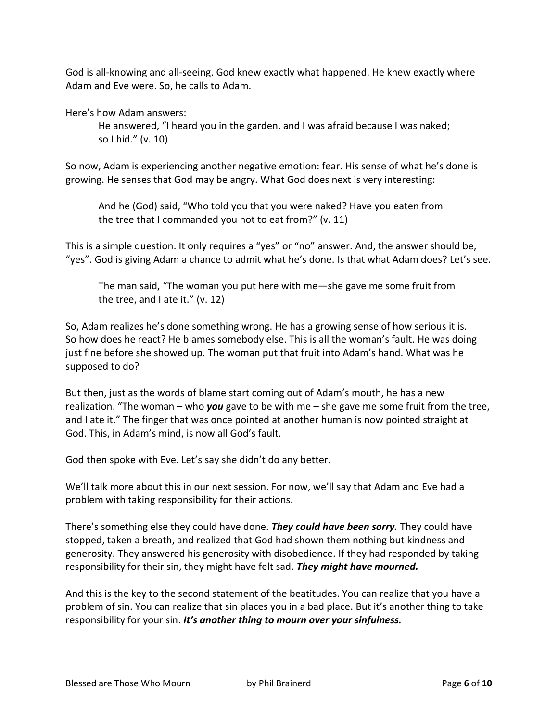God is all-knowing and all-seeing. God knew exactly what happened. He knew exactly where Adam and Eve were. So, he calls to Adam.

Here's how Adam answers:

He answered, "I heard you in the garden, and I was afraid because I was naked; so I hid." (v. 10)

So now, Adam is experiencing another negative emotion: fear. His sense of what he's done is growing. He senses that God may be angry. What God does next is very interesting:

And he (God) said, "Who told you that you were naked? Have you eaten from the tree that I commanded you not to eat from?" (v. 11)

This is a simple question. It only requires a "yes" or "no" answer. And, the answer should be, "yes". God is giving Adam a chance to admit what he's done. Is that what Adam does? Let's see.

The man said, "The woman you put here with me—she gave me some fruit from the tree, and I ate it." (v. 12)

So, Adam realizes he's done something wrong. He has a growing sense of how serious it is. So how does he react? He blames somebody else. This is all the woman's fault. He was doing just fine before she showed up. The woman put that fruit into Adam's hand. What was he supposed to do?

But then, just as the words of blame start coming out of Adam's mouth, he has a new realization. "The woman – who *you* gave to be with me – she gave me some fruit from the tree, and I ate it." The finger that was once pointed at another human is now pointed straight at God. This, in Adam's mind, is now all God's fault.

God then spoke with Eve. Let's say she didn't do any better.

We'll talk more about this in our next session. For now, we'll say that Adam and Eve had a problem with taking responsibility for their actions.

There's something else they could have done. *They could have been sorry.* They could have stopped, taken a breath, and realized that God had shown them nothing but kindness and generosity. They answered his generosity with disobedience. If they had responded by taking responsibility for their sin, they might have felt sad. *They might have mourned.*

And this is the key to the second statement of the beatitudes. You can realize that you have a problem of sin. You can realize that sin places you in a bad place. But it's another thing to take responsibility for your sin. *It's another thing to mourn over your sinfulness.*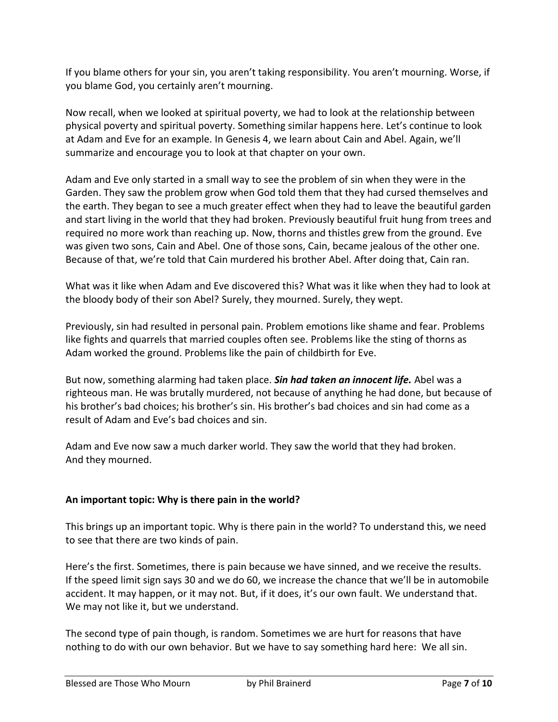If you blame others for your sin, you aren't taking responsibility. You aren't mourning. Worse, if you blame God, you certainly aren't mourning.

Now recall, when we looked at spiritual poverty, we had to look at the relationship between physical poverty and spiritual poverty. Something similar happens here. Let's continue to look at Adam and Eve for an example. In Genesis 4, we learn about Cain and Abel. Again, we'll summarize and encourage you to look at that chapter on your own.

Adam and Eve only started in a small way to see the problem of sin when they were in the Garden. They saw the problem grow when God told them that they had cursed themselves and the earth. They began to see a much greater effect when they had to leave the beautiful garden and start living in the world that they had broken. Previously beautiful fruit hung from trees and required no more work than reaching up. Now, thorns and thistles grew from the ground. Eve was given two sons, Cain and Abel. One of those sons, Cain, became jealous of the other one. Because of that, we're told that Cain murdered his brother Abel. After doing that, Cain ran.

What was it like when Adam and Eve discovered this? What was it like when they had to look at the bloody body of their son Abel? Surely, they mourned. Surely, they wept.

Previously, sin had resulted in personal pain. Problem emotions like shame and fear. Problems like fights and quarrels that married couples often see. Problems like the sting of thorns as Adam worked the ground. Problems like the pain of childbirth for Eve.

But now, something alarming had taken place. *Sin had taken an innocent life.* Abel was a righteous man. He was brutally murdered, not because of anything he had done, but because of his brother's bad choices; his brother's sin. His brother's bad choices and sin had come as a result of Adam and Eve's bad choices and sin.

Adam and Eve now saw a much darker world. They saw the world that they had broken. And they mourned.

## **An important topic: Why is there pain in the world?**

This brings up an important topic. Why is there pain in the world? To understand this, we need to see that there are two kinds of pain.

Here's the first. Sometimes, there is pain because we have sinned, and we receive the results. If the speed limit sign says 30 and we do 60, we increase the chance that we'll be in automobile accident. It may happen, or it may not. But, if it does, it's our own fault. We understand that. We may not like it, but we understand.

The second type of pain though, is random. Sometimes we are hurt for reasons that have nothing to do with our own behavior. But we have to say something hard here: We all sin.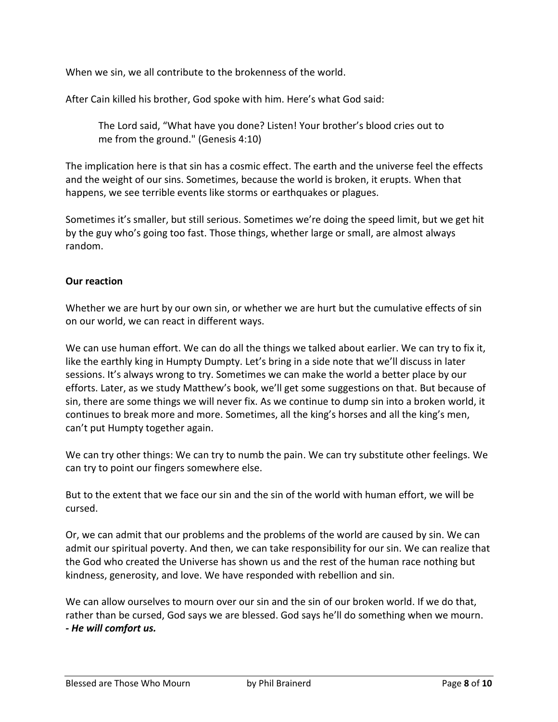When we sin, we all contribute to the brokenness of the world.

After Cain killed his brother, God spoke with him. Here's what God said:

The Lord said, "What have you done? Listen! Your brother's blood cries out to me from the ground." (Genesis 4:10)

The implication here is that sin has a cosmic effect. The earth and the universe feel the effects and the weight of our sins. Sometimes, because the world is broken, it erupts. When that happens, we see terrible events like storms or earthquakes or plagues.

Sometimes it's smaller, but still serious. Sometimes we're doing the speed limit, but we get hit by the guy who's going too fast. Those things, whether large or small, are almost always random.

## **Our reaction**

Whether we are hurt by our own sin, or whether we are hurt but the cumulative effects of sin on our world, we can react in different ways.

We can use human effort. We can do all the things we talked about earlier. We can try to fix it, like the earthly king in Humpty Dumpty. Let's bring in a side note that we'll discuss in later sessions. It's always wrong to try. Sometimes we can make the world a better place by our efforts. Later, as we study Matthew's book, we'll get some suggestions on that. But because of sin, there are some things we will never fix. As we continue to dump sin into a broken world, it continues to break more and more. Sometimes, all the king's horses and all the king's men, can't put Humpty together again.

We can try other things: We can try to numb the pain. We can try substitute other feelings. We can try to point our fingers somewhere else.

But to the extent that we face our sin and the sin of the world with human effort, we will be cursed.

Or, we can admit that our problems and the problems of the world are caused by sin. We can admit our spiritual poverty. And then, we can take responsibility for our sin. We can realize that the God who created the Universe has shown us and the rest of the human race nothing but kindness, generosity, and love. We have responded with rebellion and sin.

We can allow ourselves to mourn over our sin and the sin of our broken world. If we do that, rather than be cursed, God says we are blessed. God says he'll do something when we mourn. *- He will comfort us.*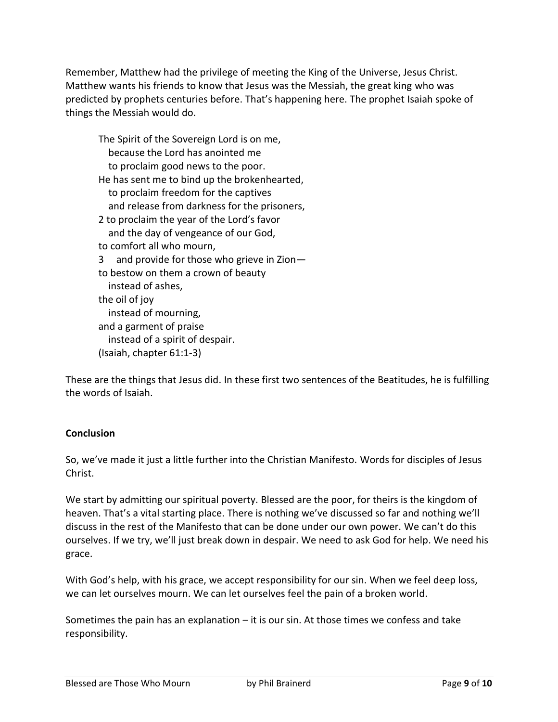Remember, Matthew had the privilege of meeting the King of the Universe, Jesus Christ. Matthew wants his friends to know that Jesus was the Messiah, the great king who was predicted by prophets centuries before. That's happening here. The prophet Isaiah spoke of things the Messiah would do.

The Spirit of the Sovereign Lord is on me, because the Lord has anointed me to proclaim good news to the poor. He has sent me to bind up the brokenhearted, to proclaim freedom for the captives and release from darkness for the prisoners, 2 to proclaim the year of the Lord's favor and the day of vengeance of our God, to comfort all who mourn, 3 and provide for those who grieve in Zion to bestow on them a crown of beauty instead of ashes, the oil of joy instead of mourning, and a garment of praise instead of a spirit of despair. (Isaiah, chapter 61:1-3)

These are the things that Jesus did. In these first two sentences of the Beatitudes, he is fulfilling the words of Isaiah.

## **Conclusion**

So, we've made it just a little further into the Christian Manifesto. Words for disciples of Jesus Christ.

We start by admitting our spiritual poverty. Blessed are the poor, for theirs is the kingdom of heaven. That's a vital starting place. There is nothing we've discussed so far and nothing we'll discuss in the rest of the Manifesto that can be done under our own power. We can't do this ourselves. If we try, we'll just break down in despair. We need to ask God for help. We need his grace.

With God's help, with his grace, we accept responsibility for our sin. When we feel deep loss, we can let ourselves mourn. We can let ourselves feel the pain of a broken world.

Sometimes the pain has an explanation – it is our sin. At those times we confess and take responsibility.